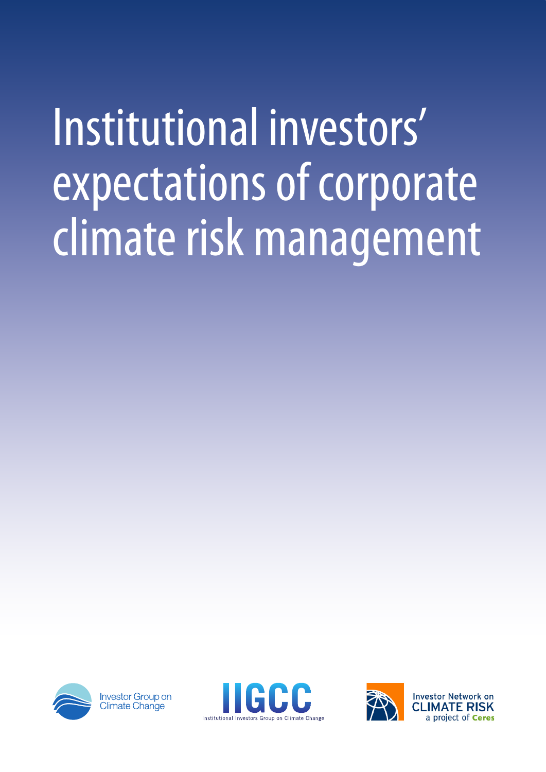# Institutional investors' expectations of corporate climate risk management



**Investor Group on** Climate Chan<sup>i</sup>ge



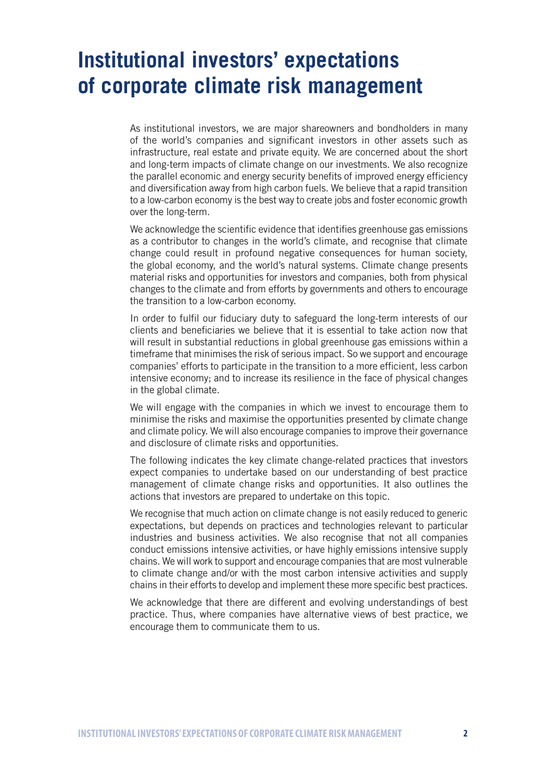## **Institutional investors' expectations of corporate climate risk management**

As institutional investors, we are major shareowners and bondholders in many of the world's companies and significant investors in other assets such as infrastructure, real estate and private equity. We are concerned about the short and long-term impacts of climate change on our investments. We also recognize the parallel economic and energy security benefits of improved energy efficiency and diversification away from high carbon fuels. We believe that a rapid transition to a low-carbon economy is the best way to create jobs and foster economic growth over the long-term.

We acknowledge the scientific evidence that identifies greenhouse gas emissions as a contributor to changes in the world's climate, and recognise that climate change could result in profound negative consequences for human society, the global economy, and the world's natural systems. Climate change presents material risks and opportunities for investors and companies, both from physical changes to the climate and from efforts by governments and others to encourage the transition to a low-carbon economy.

In order to fulfil our fiduciary duty to safeguard the long-term interests of our clients and beneficiaries we believe that it is essential to take action now that will result in substantial reductions in global greenhouse gas emissions within a timeframe that minimises the risk of serious impact. So we support and encourage companies' efforts to participate in the transition to a more efficient, less carbon intensive economy; and to increase its resilience in the face of physical changes in the global climate.

We will engage with the companies in which we invest to encourage them to minimise the risks and maximise the opportunities presented by climate change and climate policy. We will also encourage companies to improve their governance and disclosure of climate risks and opportunities.

The following indicates the key climate change-related practices that investors expect companies to undertake based on our understanding of best practice management of climate change risks and opportunities. It also outlines the actions that investors are prepared to undertake on this topic.

We recognise that much action on climate change is not easily reduced to generic expectations, but depends on practices and technologies relevant to particular industries and business activities. We also recognise that not all companies conduct emissions intensive activities, or have highly emissions intensive supply chains. We will work to support and encourage companies that are most vulnerable to climate change and/or with the most carbon intensive activities and supply chains in their efforts to develop and implement these more specific best practices.

We acknowledge that there are different and evolving understandings of best practice. Thus, where companies have alternative views of best practice, we encourage them to communicate them to us.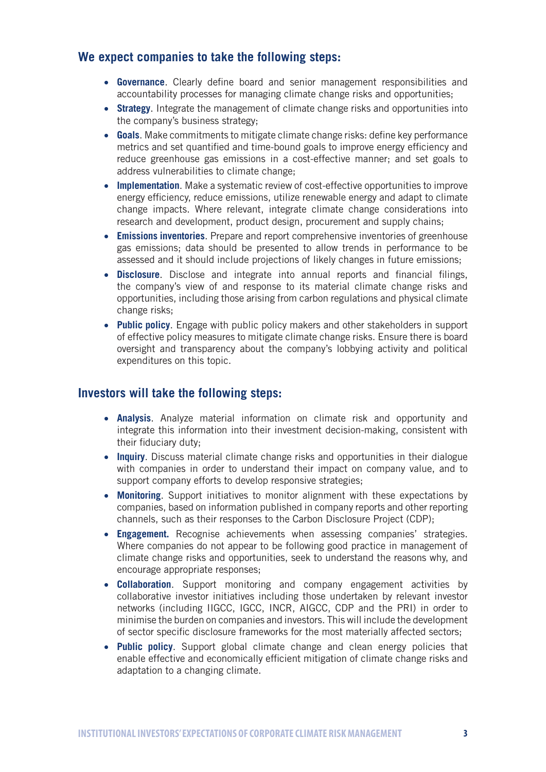## **We expect companies to take the following steps:**

- • **Governance**. Clearly define board and senior management responsibilities and accountability processes for managing climate change risks and opportunities;
- **Strategy**. Integrate the management of climate change risks and opportunities into the company's business strategy;
- Goals. Make commitments to mitigate climate change risks: define key performance metrics and set quantified and time-bound goals to improve energy efficiency and reduce greenhouse gas emissions in a cost-effective manner; and set goals to address vulnerabilities to climate change;
- **Implementation**. Make a systematic review of cost-effective opportunities to improve energy efficiency, reduce emissions, utilize renewable energy and adapt to climate change impacts. Where relevant, integrate climate change considerations into research and development, product design, procurement and supply chains;
- **Emissions inventories**. Prepare and report comprehensive inventories of greenhouse gas emissions; data should be presented to allow trends in performance to be assessed and it should include projections of likely changes in future emissions;
- • **Disclosure**. Disclose and integrate into annual reports and financial filings, the company's view of and response to its material climate change risks and opportunities, including those arising from carbon regulations and physical climate change risks;
- **Public policy**. Engage with public policy makers and other stakeholders in support of effective policy measures to mitigate climate change risks. Ensure there is board oversight and transparency about the company's lobbying activity and political expenditures on this topic.

## **Investors will take the following steps:**

- **Analysis**. Analyze material information on climate risk and opportunity and integrate this information into their investment decision-making, consistent with their fiduciary duty;
- **Inquiry**. Discuss material climate change risks and opportunities in their dialogue with companies in order to understand their impact on company value, and to support company efforts to develop responsive strategies;
- • **Monitoring**. Support initiatives to monitor alignment with these expectations by companies, based on information published in company reports and other reporting channels, such as their responses to the Carbon Disclosure Project (CDP);
- **Engagement.** Recognise achievements when assessing companies' strategies. Where companies do not appear to be following good practice in management of climate change risks and opportunities, seek to understand the reasons why, and encourage appropriate responses;
- • **Collaboration**. Support monitoring and company engagement activities by collaborative investor initiatives including those undertaken by relevant investor networks (including IIGCC, IGCC, INCR, AIGCC, CDP and the PRI) in order to minimise the burden on companies and investors. This will include the development of sector specific disclosure frameworks for the most materially affected sectors;
- **Public policy**. Support global climate change and clean energy policies that enable effective and economically efficient mitigation of climate change risks and adaptation to a changing climate.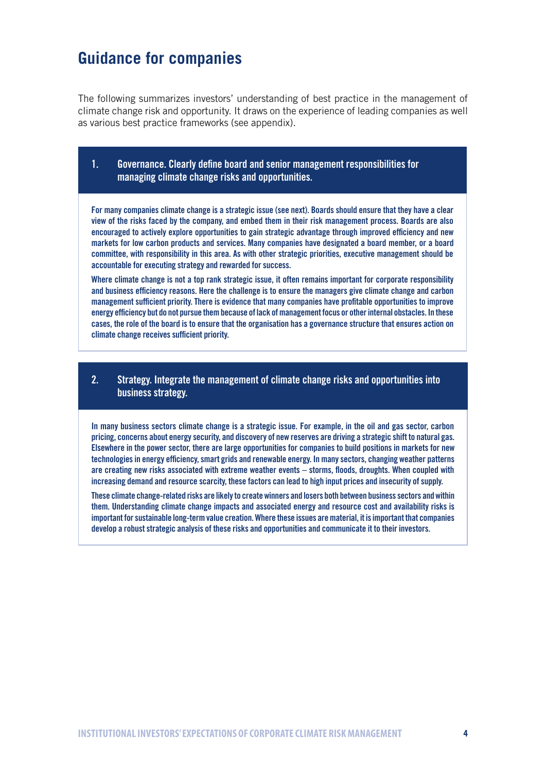## **Guidance for companies**

The following summarizes investors' understanding of best practice in the management of climate change risk and opportunity. It draws on the experience of leading companies as well as various best practice frameworks (see appendix).

## 1. Governance. Clearly define board and senior management responsibilities for managing climate change risks and opportunities.

For many companies climate change is a strategic issue (see next). Boards should ensure that they have a clear view of the risks faced by the company, and embed them in their risk management process. Boards are also encouraged to actively explore opportunities to gain strategic advantage through improved efficiency and new markets for low carbon products and services. Many companies have designated a board member, or a board committee, with responsibility in this area. As with other strategic priorities, executive management should be accountable for executing strategy and rewarded for success.

Where climate change is not a top rank strategic issue, it often remains important for corporate responsibility and business efficiency reasons. Here the challenge is to ensure the managers give climate change and carbon management sufficient priority. There is evidence that many companies have profitable opportunities to improve energy efficiency but do not pursue them because of lack of management focus or other internal obstacles. In these cases, the role of the board is to ensure that the organisation has a governance structure that ensures action on climate change receives sufficient priority.

## 2. Strategy. Integrate the management of climate change risks and opportunities into business strategy.

In many business sectors climate change is a strategic issue. For example, in the oil and gas sector, carbon pricing, concerns about energy security, and discovery of new reserves are driving a strategic shift to natural gas. Elsewhere in the power sector, there are large opportunities for companies to build positions in markets for new technologies in energy efficiency, smart grids and renewable energy. In many sectors, changing weather patterns are creating new risks associated with extreme weather events – storms, floods, droughts. When coupled with increasing demand and resource scarcity, these factors can lead to high input prices and insecurity of supply.

These climate change-related risks are likely to create winners and losers both between business sectors and within them. Understanding climate change impacts and associated energy and resource cost and availability risks is important for sustainable long-term value creation. Where these issues are material, it is important that companies develop a robust strategic analysis of these risks and opportunities and communicate it to their investors.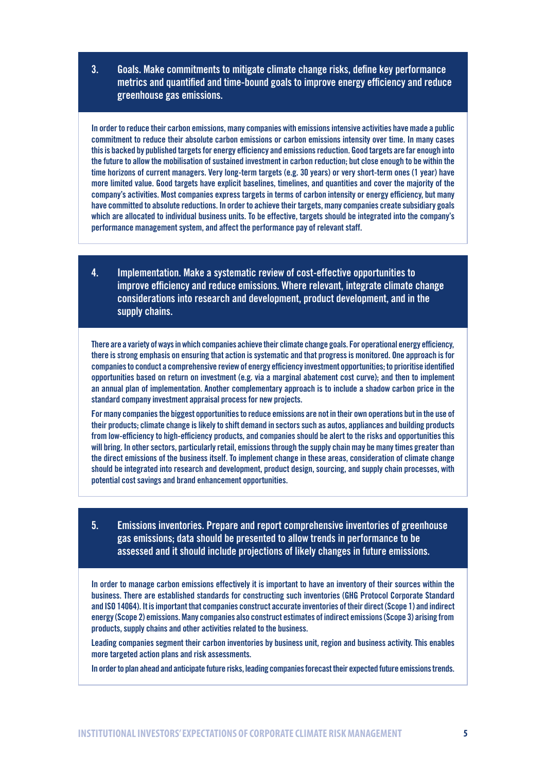3. Goals. Make commitments to mitigate climate change risks, define key performance metrics and quantified and time-bound goals to improve energy efficiency and reduce greenhouse gas emissions.

In order to reduce their carbon emissions, many companies with emissions intensive activities have made a public commitment to reduce their absolute carbon emissions or carbon emissions intensity over time. In many cases this is backed by published targets for energy efficiency and emissions reduction. Good targets are far enough into the future to allow the mobilisation of sustained investment in carbon reduction; but close enough to be within the time horizons of current managers. Very long-term targets (e.g. 30 years) or very short-term ones (1 year) have more limited value. Good targets have explicit baselines, timelines, and quantities and cover the majority of the company's activities. Most companies express targets in terms of carbon intensity or energy efficiency, but many have committed to absolute reductions. In order to achieve their targets, many companies create subsidiary goals which are allocated to individual business units. To be effective, targets should be integrated into the company's performance management system, and affect the performance pay of relevant staff.

4. Implementation. Make a systematic review of cost-effective opportunities to improve efficiency and reduce emissions. Where relevant, integrate climate change considerations into research and development, product development, and in the supply chains.

There are a variety of ways in which companies achieve their climate change goals. For operational energy efficiency, there is strong emphasis on ensuring that action is systematic and that progress is monitored. One approach is for companies to conduct a comprehensive review of energy efficiency investment opportunities; to prioritise identified opportunities based on return on investment (e.g. via a marginal abatement cost curve); and then to implement an annual plan of implementation. Another complementary approach is to include a shadow carbon price in the standard company investment appraisal process for new projects.

For many companies the biggest opportunities to reduce emissions are not in their own operations but in the use of their products; climate change is likely to shift demand in sectors such as autos, appliances and building products from low-efficiency to high-efficiency products, and companies should be alert to the risks and opportunities this will bring. In other sectors, particularly retail, emissions through the supply chain may be many times greater than the direct emissions of the business itself. To implement change in these areas, consideration of climate change should be integrated into research and development, product design, sourcing, and supply chain processes, with potential cost savings and brand enhancement opportunities.

5. Emissions inventories. Prepare and report comprehensive inventories of greenhouse gas emissions; data should be presented to allow trends in performance to be assessed and it should include projections of likely changes in future emissions.

In order to manage carbon emissions effectively it is important to have an inventory of their sources within the business. There are established standards for constructing such inventories (GHG Protocol Corporate Standard and ISO 14064). It is important that companies construct accurate inventories of their direct (Scope 1) and indirect energy (Scope 2) emissions. Many companies also construct estimates of indirect emissions (Scope 3) arising from products, supply chains and other activities related to the business.

Leading companies segment their carbon inventories by business unit, region and business activity. This enables more targeted action plans and risk assessments.

In order to plan ahead and anticipate future risks, leading companies forecast their expected future emissions trends.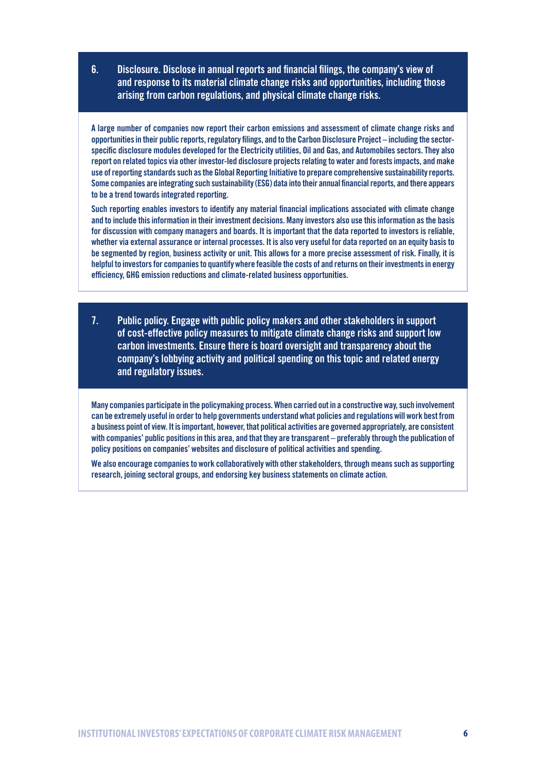6. Disclosure. Disclose in annual reports and financial filings, the company's view of and response to its material climate change risks and opportunities, including those arising from carbon regulations, and physical climate change risks.

A large number of companies now report their carbon emissions and assessment of climate change risks and opportunities in their public reports, regulatory filings, and to the Carbon Disclosure Project – including the sectorspecific disclosure modules developed for the Electricity utilities, Oil and Gas, and Automobiles sectors. They also report on related topics via other investor-led disclosure projects relating to water and forests impacts, and make use of reporting standards such as the Global Reporting Initiative to prepare comprehensive sustainability reports. Some companies are integrating such sustainability (ESG) data into their annual financial reports, and there appears to be a trend towards integrated reporting.

Such reporting enables investors to identify any material financial implications associated with climate change and to include this information in their investment decisions. Many investors also use this information as the basis for discussion with company managers and boards. It is important that the data reported to investors is reliable, whether via external assurance or internal processes. It is also very useful for data reported on an equity basis to be segmented by region, business activity or unit. This allows for a more precise assessment of risk. Finally, it is helpful to investors for companies to quantify where feasible the costs of and returns on their investments in energy efficiency, GHG emission reductions and climate-related business opportunities.

7. Public policy. Engage with public policy makers and other stakeholders in support of cost-effective policy measures to mitigate climate change risks and support low carbon investments. Ensure there is board oversight and transparency about the company's lobbying activity and political spending on this topic and related energy and regulatory issues.

Many companies participate in the policymaking process. When carried out in a constructive way, such involvement can be extremely useful in order to help governments understand what policies and regulations will work best from a business point of view. It is important, however, that political activities are governed appropriately, are consistent with companies' public positions in this area, and that they are transparent – preferably through the publication of policy positions on companies' websites and disclosure of political activities and spending.

We also encourage companies to work collaboratively with other stakeholders, through means such as supporting research, joining sectoral groups, and endorsing key business statements on climate action.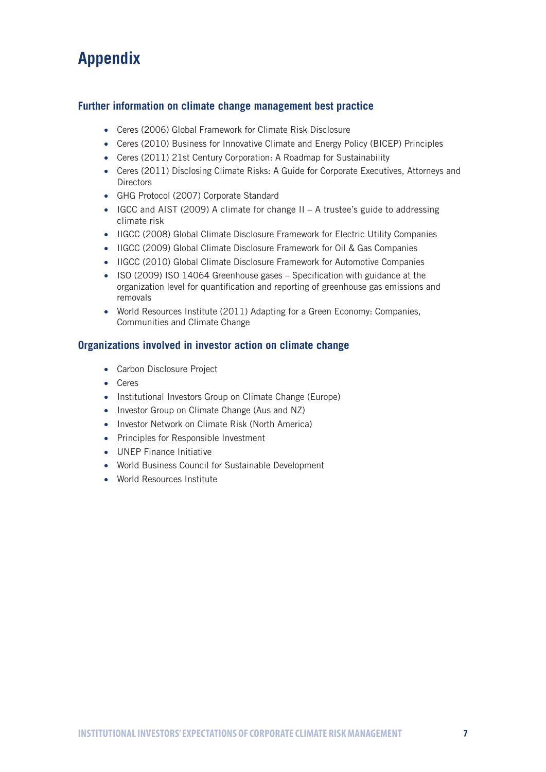## **Appendix**

## **Further information on climate change management best practice**

- Ceres (2006) Global Framework for Climate Risk Disclosure
- Ceres (2010) Business for Innovative Climate and Energy Policy (BICEP) Principles
- Ceres (2011) 21st Century Corporation: A Roadmap for Sustainability
- Ceres (2011) Disclosing Climate Risks: A Guide for Corporate Executives, Attorneys and **Directors**
- • GHG Protocol (2007) Corporate Standard
- IGCC and AIST (2009) A climate for change II A trustee's guide to addressing climate risk
- IIGCC (2008) Global Climate Disclosure Framework for Electric Utility Companies
- IIGCC (2009) Global Climate Disclosure Framework for Oil & Gas Companies
- IIGCC (2010) Global Climate Disclosure Framework for Automotive Companies
- ISO (2009) ISO 14064 Greenhouse gases Specification with guidance at the organization level for quantification and reporting of greenhouse gas emissions and removals
- World Resources Institute (2011) Adapting for a Green Economy: Companies, Communities and Climate Change

## **Organizations involved in investor action on climate change**

- Carbon Disclosure Project
- • Ceres
- Institutional Investors Group on Climate Change (Europe)
- Investor Group on Climate Change (Aus and NZ)
- Investor Network on Climate Risk (North America)
- • Principles for Responsible Investment
- • UNEP Finance Initiative
- World Business Council for Sustainable Development
- • World Resources Institute